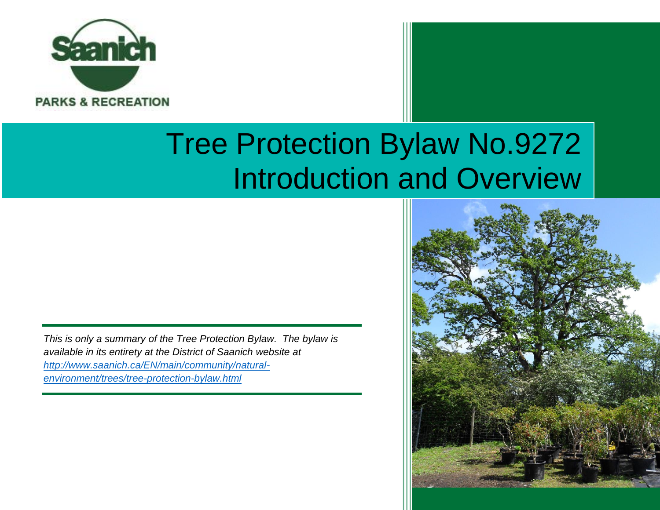

# Tree Protection Bylaw No.9272 Introduction and Overview

*This is only a summary of the Tree Protection Bylaw. The bylaw is available in its entirety at the District of Saanich website at [http://www.saanich.ca/EN/main/community/natural](http://www.saanich.ca/EN/main/community/natural-environment/trees/tree-protection-bylaw.html)[environment/trees/tree-protection-bylaw.html](http://www.saanich.ca/EN/main/community/natural-environment/trees/tree-protection-bylaw.html)*

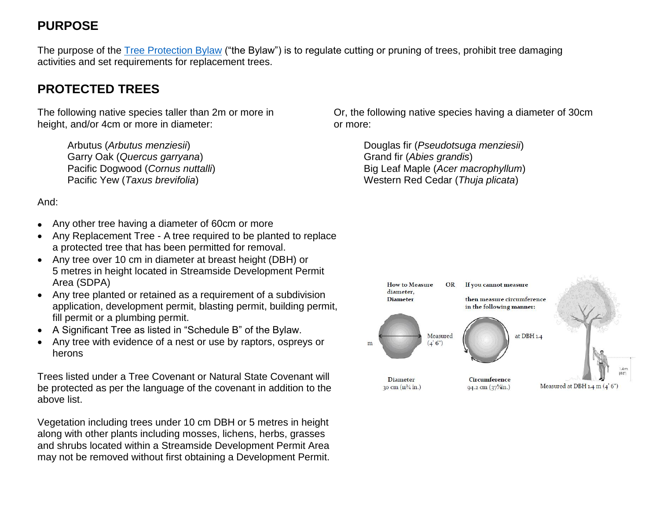## **PURPOSE**

The purpose of the [Tree Protection Bylaw](http://www.saanich.ca/EN/main/community/natural-environment/trees/tree-protection-bylaw.html) ("the Bylaw") is to regulate cutting or pruning of trees, prohibit tree damaging activities and set requirements for replacement trees.

## **PROTECTED TREES**

The following native species taller than 2m or more in height, and/or 4cm or more in diameter:

> Arbutus (*Arbutus menziesii*) Garry Oak (*Quercus garryana*) Pacific Dogwood (*Cornus nuttalli*) Pacific Yew (*Taxus brevifolia*)

And:

- Any other tree having a diameter of 60cm or more
- Any Replacement Tree A tree required to be planted to replace a protected tree that has been permitted for removal.
- Any tree over 10 cm in diameter at breast height (DBH) or 5 metres in height located in Streamside Development Permit Area (SDPA)
- Any tree planted or retained as a requirement of a subdivision application, development permit, blasting permit, building permit, fill permit or a plumbing permit.
- A Significant Tree as listed in "Schedule B" of the Bylaw.
- Any tree with evidence of a nest or use by raptors, ospreys or herons

Trees listed under a Tree Covenant or Natural State Covenant will be protected as per the language of the covenant in addition to the above list.

Vegetation including trees under 10 cm DBH or 5 metres in height along with other plants including mosses, lichens, herbs, grasses and shrubs located within a Streamside Development Permit Area may not be removed without first obtaining a Development Permit.

Or, the following native species having a diameter of 30cm or more:

> Douglas fir (*Pseudotsuga menziesii*) Grand fir (*Abies grandis*) Big Leaf Maple (*Acer macrophyllum*) Western Red Cedar (*Thuja plicata*)

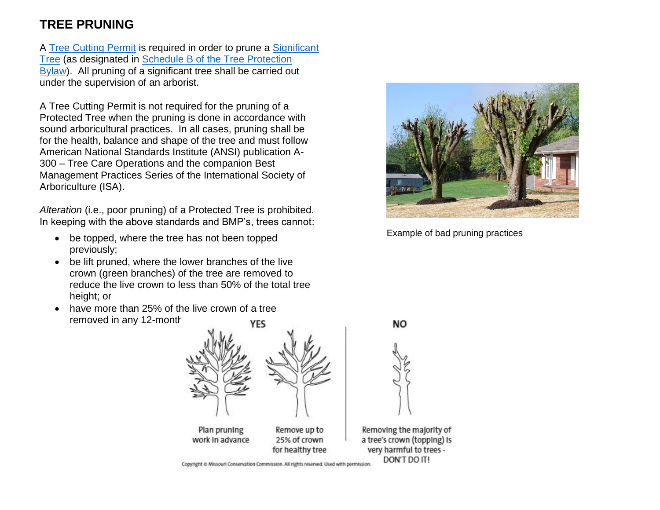## **TREE PRUNING**

A Tree [Cutting Permit](http://www.saanich.ca/EN/main/community/natural-environment/trees/tree-cutting-permit.html) is required in order to prune a [Significant](http://www.saanich.ca/EN/main/community/natural-environment/trees/significant-tree-program.html)  [Tree](http://www.saanich.ca/EN/main/community/natural-environment/trees/significant-tree-program.html) (as designated in [Schedule B of the Tree Protection](http://www.saanich.ca/assets/Community/Documents/ScheduleB-Significant-Trees.pdf)  [Bylaw\)](http://www.saanich.ca/assets/Community/Documents/ScheduleB-Significant-Trees.pdf). All pruning of a significant tree shall be carried out under the supervision of an arborist.

A Tree Cutting Permit is not required for the pruning of a Protected Tree when the pruning is done in accordance with sound arboricultural practices. In all cases, pruning shall be for the health, balance and shape of the tree and must follow American National Standards Institute (ANSI) publication A-300 – Tree Care Operations and the companion Best Management Practices Series of the International Society of Arboriculture (ISA).

*Alteration* (i.e., poor pruning) of a Protected Tree is prohibited. In keeping with the above standards and BMP's, trees cannot:

- be topped, where the tree has not been topped previously;
- be lift pruned, where the lower branches of the live crown (green branches) of the tree are removed to reduce the live crown to less than 50% of the total tree height; or
- have more than 25% of the live crown of a tree removed in any 12-month



Example of bad pruning practices



Copyright © Missouri Conservation Commission. All rights reserved. Used with permission.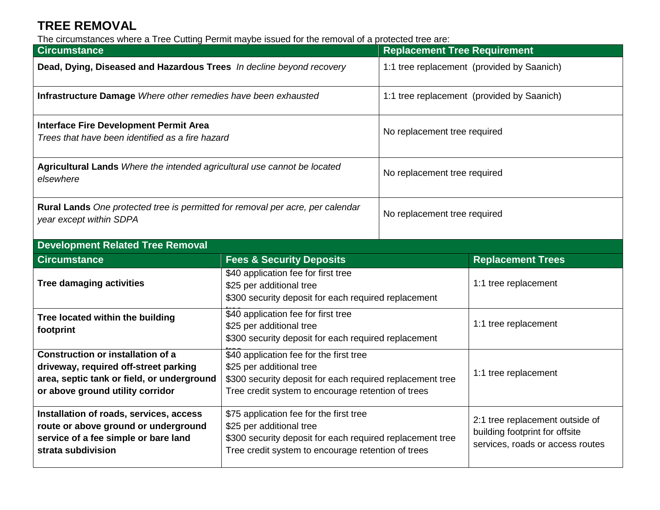## **TREE REMOVAL**

The circumstances where a Tree Cutting Permit maybe issued for the removal of a protected tree are:

| <b>Circumstance</b>                                                                                                                                                 |                                                                                                                                                                                        | <b>Replacement Tree Requirement</b>        |                                                                                                       |  |
|---------------------------------------------------------------------------------------------------------------------------------------------------------------------|----------------------------------------------------------------------------------------------------------------------------------------------------------------------------------------|--------------------------------------------|-------------------------------------------------------------------------------------------------------|--|
| Dead, Dying, Diseased and Hazardous Trees In decline beyond recovery                                                                                                |                                                                                                                                                                                        | 1:1 tree replacement (provided by Saanich) |                                                                                                       |  |
| Infrastructure Damage Where other remedies have been exhausted                                                                                                      |                                                                                                                                                                                        | 1:1 tree replacement (provided by Saanich) |                                                                                                       |  |
| <b>Interface Fire Development Permit Area</b><br>Trees that have been identified as a fire hazard                                                                   |                                                                                                                                                                                        | No replacement tree required               |                                                                                                       |  |
| Agricultural Lands Where the intended agricultural use cannot be located<br>elsewhere                                                                               |                                                                                                                                                                                        | No replacement tree required               |                                                                                                       |  |
| Rural Lands One protected tree is permitted for removal per acre, per calendar<br>year except within SDPA                                                           |                                                                                                                                                                                        | No replacement tree required               |                                                                                                       |  |
| <b>Development Related Tree Removal</b>                                                                                                                             |                                                                                                                                                                                        |                                            |                                                                                                       |  |
| <b>Circumstance</b>                                                                                                                                                 | <b>Fees &amp; Security Deposits</b>                                                                                                                                                    |                                            | <b>Replacement Trees</b>                                                                              |  |
| <b>Tree damaging activities</b>                                                                                                                                     | \$40 application fee for first tree<br>\$25 per additional tree<br>\$300 security deposit for each required replacement                                                                |                                            | 1:1 tree replacement                                                                                  |  |
| Tree located within the building<br>footprint                                                                                                                       | \$40 application fee for first tree<br>\$25 per additional tree<br>\$300 security deposit for each required replacement                                                                |                                            | 1:1 tree replacement                                                                                  |  |
| <b>Construction or installation of a</b><br>driveway, required off-street parking<br>area, septic tank or field, or underground<br>or above ground utility corridor | \$40 application fee for the first tree<br>\$25 per additional tree<br>\$300 security deposit for each required replacement tree<br>Tree credit system to encourage retention of trees |                                            | 1:1 tree replacement                                                                                  |  |
| Installation of roads, services, access<br>route or above ground or underground<br>service of a fee simple or bare land<br>strata subdivision                       | \$75 application fee for the first tree<br>\$25 per additional tree<br>\$300 security deposit for each required replacement tree<br>Tree credit system to encourage retention of trees |                                            | 2:1 tree replacement outside of<br>building footprint for offsite<br>services, roads or access routes |  |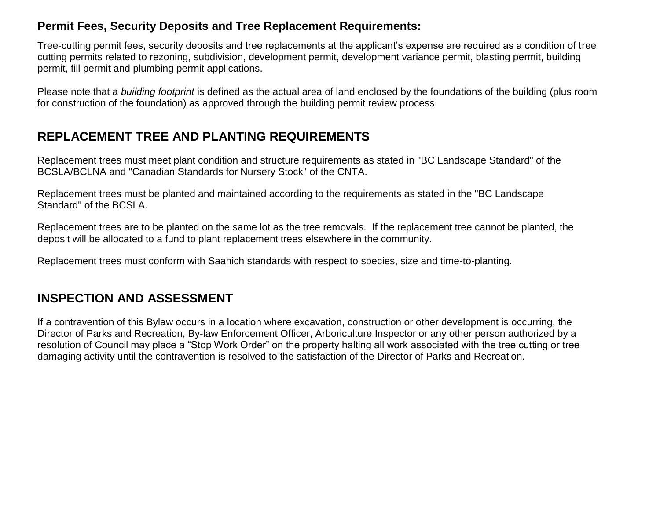#### **Permit Fees, Security Deposits and Tree Replacement Requirements:**

Tree-cutting permit fees, security deposits and tree replacements at the applicant's expense are required as a condition of tree cutting permits related to rezoning, subdivision, development permit, development variance permit, blasting permit, building permit, fill permit and plumbing permit applications.

Please note that a *building footprint* is defined as the actual area of land enclosed by the foundations of the building (plus room for construction of the foundation) as approved through the building permit review process.

## **REPLACEMENT TREE AND PLANTING REQUIREMENTS**

Replacement trees must meet plant condition and structure requirements as stated in "BC Landscape Standard" of the BCSLA/BCLNA and "Canadian Standards for Nursery Stock" of the CNTA.

Replacement trees must be planted and maintained according to the requirements as stated in the "BC Landscape Standard" of the BCSLA.

Replacement trees are to be planted on the same lot as the tree removals. If the replacement tree cannot be planted, the deposit will be allocated to a fund to plant replacement trees elsewhere in the community.

Replacement trees must conform with Saanich standards with respect to species, size and time-to-planting.

### **INSPECTION AND ASSESSMENT**

If a contravention of this Bylaw occurs in a location where excavation, construction or other development is occurring, the Director of Parks and Recreation, By-law Enforcement Officer, Arboriculture Inspector or any other person authorized by a resolution of Council may place a "Stop Work Order" on the property halting all work associated with the tree cutting or tree damaging activity until the contravention is resolved to the satisfaction of the Director of Parks and Recreation.